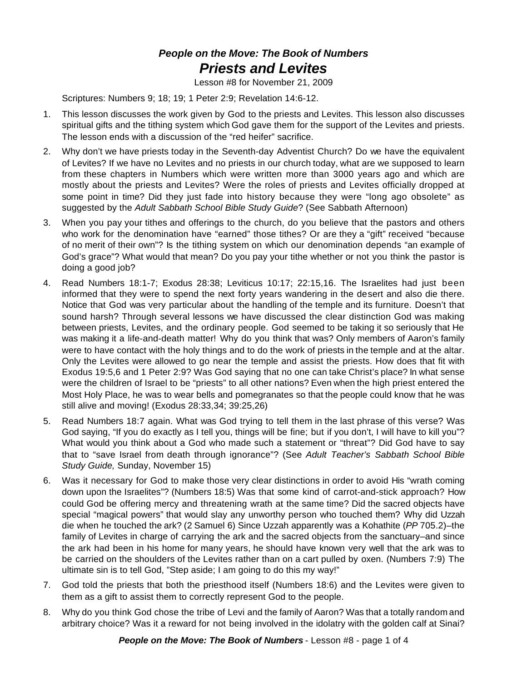## *People on the Move: The Book of Numbers Priests and Levites*

Lesson #8 for November 21, 2009

Scriptures: Numbers 9; 18; 19; 1 Peter 2:9; Revelation 14:6-12.

- 1. This lesson discusses the work given by God to the priests and Levites. This lesson also discusses spiritual gifts and the tithing system which God gave them for the support of the Levites and priests. The lesson ends with a discussion of the "red heifer" sacrifice.
- 2. Why don't we have priests today in the Seventh-day Adventist Church? Do we have the equivalent of Levites? If we have no Levites and no priests in our church today, what are we supposed to learn from these chapters in Numbers which were written more than 3000 years ago and which are mostly about the priests and Levites? Were the roles of priests and Levites officially dropped at some point in time? Did they just fade into history because they were "long ago obsolete" as suggested by the *Adult Sabbath School Bible Study Guide*? (See Sabbath Afternoon)
- 3. When you pay your tithes and offerings to the church, do you believe that the pastors and others who work for the denomination have "earned" those tithes? Or are they a "gift" received "because of no merit of their own"? Is the tithing system on which our denomination depends "an example of God's grace"? What would that mean? Do you pay your tithe whether or not you think the pastor is doing a good job?
- 4. Read Numbers 18:1-7; Exodus 28:38; Leviticus 10:17; 22:15,16. The Israelites had just been informed that they were to spend the next forty years wandering in the desert and also die there. Notice that God was very particular about the handling of the temple and its furniture. Doesn't that sound harsh? Through several lessons we have discussed the clear distinction God was making between priests, Levites, and the ordinary people. God seemed to be taking it so seriously that He was making it a life-and-death matter! Why do you think that was? Only members of Aaron's family were to have contact with the holy things and to do the work of priests in the temple and at the altar. Only the Levites were allowed to go near the temple and assist the priests. How does that fit with Exodus 19:5,6 and 1 Peter 2:9? Was God saying that no one can take Christ's place? In what sense were the children of Israel to be "priests" to all other nations? Even when the high priest entered the Most Holy Place, he was to wear bells and pomegranates so that the people could know that he was still alive and moving! (Exodus 28:33,34; 39:25,26)
- 5. Read Numbers 18:7 again. What was God trying to tell them in the last phrase of this verse? Was God saying, "If you do exactly as I tell you, things will be fine; but if you don't, I will have to kill you"? What would you think about a God who made such a statement or "threat"? Did God have to say that to "save Israel from death through ignorance"? (See *Adult Teacher's Sabbath School Bible Study Guide,* Sunday, November 15)
- 6. Was it necessary for God to make those very clear distinctions in order to avoid His "wrath coming down upon the Israelites"? (Numbers 18:5) Was that some kind of carrot-and-stick approach? How could God be offering mercy and threatening wrath at the same time? Did the sacred objects have special "magical powers" that would slay any unworthy person who touched them? Why did Uzzah die when he touched the ark? (2 Samuel 6) Since Uzzah apparently was a Kohathite (*PP* 705.2)–the family of Levites in charge of carrying the ark and the sacred objects from the sanctuary–and since the ark had been in his home for many years, he should have known very well that the ark was to be carried on the shoulders of the Levites rather than on a cart pulled by oxen. (Numbers 7:9) The ultimate sin is to tell God, "Step aside; I am going to do this my way!"
- 7. God told the priests that both the priesthood itself (Numbers 18:6) and the Levites were given to them as a gift to assist them to correctly represent God to the people.
- 8. Why do you think God chose the tribe of Levi and the family of Aaron? Was that a totally random and arbitrary choice? Was it a reward for not being involved in the idolatry with the golden calf at Sinai?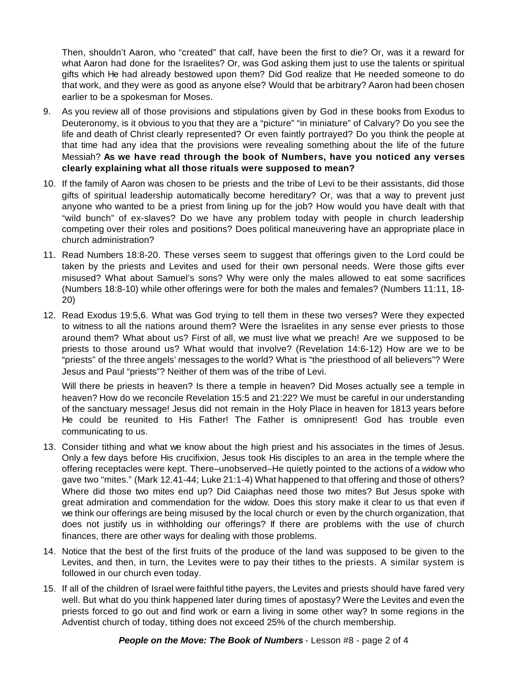Then, shouldn't Aaron, who "created" that calf, have been the first to die? Or, was it a reward for what Aaron had done for the Israelites? Or, was God asking them just to use the talents or spiritual gifts which He had already bestowed upon them? Did God realize that He needed someone to do that work, and they were as good as anyone else? Would that be arbitrary? Aaron had been chosen earlier to be a spokesman for Moses.

- 9. As you review all of those provisions and stipulations given by God in these books from Exodus to Deuteronomy, is it obvious to you that they are a "picture" "in miniature" of Calvary? Do you see the life and death of Christ clearly represented? Or even faintly portrayed? Do you think the people at that time had any idea that the provisions were revealing something about the life of the future Messiah? **As we have read through the book of Numbers, have you noticed any verses clearly explaining what all those rituals were supposed to mean?**
- 10. If the family of Aaron was chosen to be priests and the tribe of Levi to be their assistants, did those gifts of spiritual leadership automatically become hereditary? Or, was that a way to prevent just anyone who wanted to be a priest from lining up for the job? How would you have dealt with that "wild bunch" of ex-slaves? Do we have any problem today with people in church leadership competing over their roles and positions? Does political maneuvering have an appropriate place in church administration?
- 11. Read Numbers 18:8-20. These verses seem to suggest that offerings given to the Lord could be taken by the priests and Levites and used for their own personal needs. Were those gifts ever misused? What about Samuel's sons? Why were only the males allowed to eat some sacrifices (Numbers 18:8-10) while other offerings were for both the males and females? (Numbers 11:11, 18- 20)
- 12. Read Exodus 19:5,6. What was God trying to tell them in these two verses? Were they expected to witness to all the nations around them? Were the Israelites in any sense ever priests to those around them? What about us? First of all, we must live what we preach! Are we supposed to be priests to those around us? What would that involve? (Revelation 14:6-12) How are we to be "priests" of the three angels' messages to the world? What is "the priesthood of all believers"? Were Jesus and Paul "priests"? Neither of them was of the tribe of Levi.

Will there be priests in heaven? Is there a temple in heaven? Did Moses actually see a temple in heaven? How do we reconcile Revelation 15:5 and 21:22? We must be careful in our understanding of the sanctuary message! Jesus did not remain in the Holy Place in heaven for 1813 years before He could be reunited to His Father! The Father is omnipresent! God has trouble even communicating to us.

- 13. Consider tithing and what we know about the high priest and his associates in the times of Jesus. Only a few days before His crucifixion, Jesus took His disciples to an area in the temple where the offering receptacles were kept. There–unobserved–He quietly pointed to the actions of a widow who gave two "mites." (Mark 12.41-44; Luke 21:1-4) What happened to that offering and those of others? Where did those two mites end up? Did Caiaphas need those two mites? But Jesus spoke with great admiration and commendation for the widow. Does this story make it clear to us that even if we think our offerings are being misused by the local church or even by the church organization, that does not justify us in withholding our offerings? If there are problems with the use of church finances, there are other ways for dealing with those problems.
- 14. Notice that the best of the first fruits of the produce of the land was supposed to be given to the Levites, and then, in turn, the Levites were to pay their tithes to the priests. A similar system is followed in our church even today.
- 15. If all of the children of Israel were faithful tithe payers, the Levites and priests should have fared very well. But what do you think happened later during times of apostasy? Were the Levites and even the priests forced to go out and find work or earn a living in some other way? In some regions in the Adventist church of today, tithing does not exceed 25% of the church membership.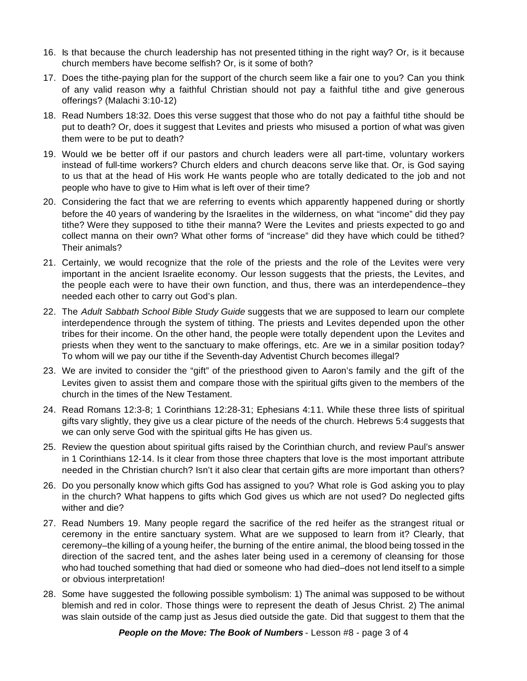- 16. Is that because the church leadership has not presented tithing in the right way? Or, is it because church members have become selfish? Or, is it some of both?
- 17. Does the tithe-paying plan for the support of the church seem like a fair one to you? Can you think of any valid reason why a faithful Christian should not pay a faithful tithe and give generous offerings? (Malachi 3:10-12)
- 18. Read Numbers 18:32. Does this verse suggest that those who do not pay a faithful tithe should be put to death? Or, does it suggest that Levites and priests who misused a portion of what was given them were to be put to death?
- 19. Would we be better off if our pastors and church leaders were all part-time, voluntary workers instead of full-time workers? Church elders and church deacons serve like that. Or, is God saying to us that at the head of His work He wants people who are totally dedicated to the job and not people who have to give to Him what is left over of their time?
- 20. Considering the fact that we are referring to events which apparently happened during or shortly before the 40 years of wandering by the Israelites in the wilderness, on what "income" did they pay tithe? Were they supposed to tithe their manna? Were the Levites and priests expected to go and collect manna on their own? What other forms of "increase" did they have which could be tithed? Their animals?
- 21. Certainly, we would recognize that the role of the priests and the role of the Levites were very important in the ancient Israelite economy. Our lesson suggests that the priests, the Levites, and the people each were to have their own function, and thus, there was an interdependence–they needed each other to carry out God's plan.
- 22. The *Adult Sabbath School Bible Study Guide* suggests that we are supposed to learn our complete interdependence through the system of tithing. The priests and Levites depended upon the other tribes for their income. On the other hand, the people were totally dependent upon the Levites and priests when they went to the sanctuary to make offerings, etc. Are we in a similar position today? To whom will we pay our tithe if the Seventh-day Adventist Church becomes illegal?
- 23. We are invited to consider the "gift" of the priesthood given to Aaron's family and the gift of the Levites given to assist them and compare those with the spiritual gifts given to the members of the church in the times of the New Testament.
- 24. Read Romans 12:3-8; 1 Corinthians 12:28-31; Ephesians 4:11. While these three lists of spiritual gifts vary slightly, they give us a clear picture of the needs of the church. Hebrews 5:4 suggests that we can only serve God with the spiritual gifts He has given us.
- 25. Review the question about spiritual gifts raised by the Corinthian church, and review Paul's answer in 1 Corinthians 12-14. Is it clear from those three chapters that love is the most important attribute needed in the Christian church? Isn't it also clear that certain gifts are more important than others?
- 26. Do you personally know which gifts God has assigned to you? What role is God asking you to play in the church? What happens to gifts which God gives us which are not used? Do neglected gifts wither and die?
- 27. Read Numbers 19. Many people regard the sacrifice of the red heifer as the strangest ritual or ceremony in the entire sanctuary system. What are we supposed to learn from it? Clearly, that ceremony–the killing of a young heifer, the burning of the entire animal, the blood being tossed in the direction of the sacred tent, and the ashes later being used in a ceremony of cleansing for those who had touched something that had died or someone who had died–does not lend itself to a simple or obvious interpretation!
- 28. Some have suggested the following possible symbolism: 1) The animal was supposed to be without blemish and red in color. Those things were to represent the death of Jesus Christ. 2) The animal was slain outside of the camp just as Jesus died outside the gate. Did that suggest to them that the

*People on the Move: The Book of Numbers* - Lesson #8 - page 3 of 4